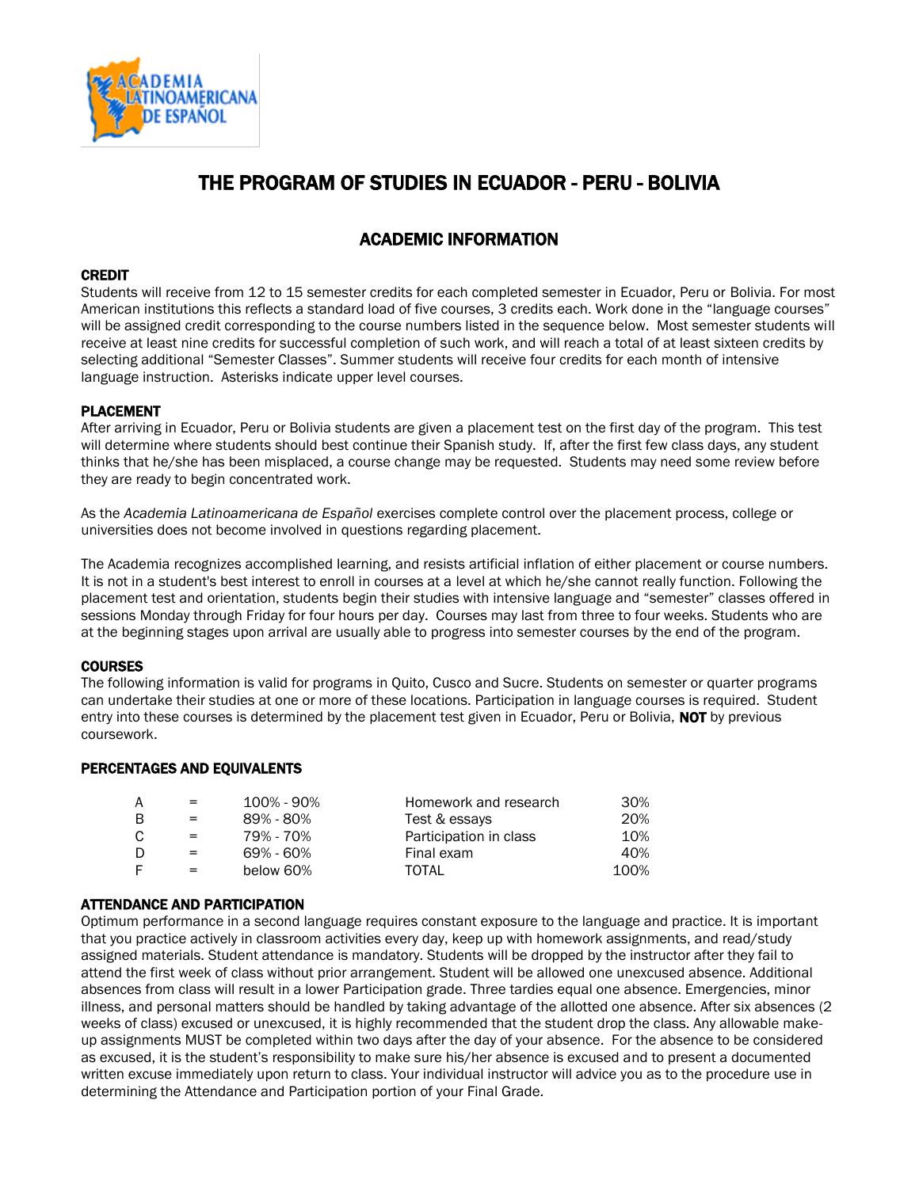

# THE PROGRAM OF STUDIES IN ECUADOR - PERU - BOLIVIA

# ACADEMIC INFORMATION

### CREDIT

Students will receive from 12 to 15 semester credits for each completed semester in Ecuador, Peru or Bolivia. For most American institutions this reflects a standard load of five courses, 3 credits each. Work done in the "language courses" will be assigned credit corresponding to the course numbers listed in the sequence below. Most semester students will receive at least nine credits for successful completion of such work, and will reach a total of at least sixteen credits by selecting additional "Semester Classes". Summer students will receive four credits for each month of intensive language instruction. Asterisks indicate upper level courses.

# PLACEMENT

After arriving in Ecuador, Peru or Bolivia students are given a placement test on the first day of the program. This test will determine where students should best continue their Spanish study. If, after the first few class days, any student thinks that he/she has been misplaced, a course change may be requested. Students may need some review before they are ready to begin concentrated work.

As the *Academia Latinoamericana de Español* exercises complete control over the placement process, college or universities does not become involved in questions regarding placement.

The Academia recognizes accomplished learning, and resists artificial inflation of either placement or course numbers. It is not in a student's best interest to enroll in courses at a level at which he/she cannot really function. Following the placement test and orientation, students begin their studies with intensive language and "semester" classes offered in sessions Monday through Friday for four hours per day. Courses may last from three to four weeks. Students who are at the beginning stages upon arrival are usually able to progress into semester courses by the end of the program.

### **COURSES**

The following information is valid for programs in Quito, Cusco and Sucre. Students on semester or quarter programs can undertake their studies at one or more of these locations. Participation in language courses is required. Student entry into these courses is determined by the placement test given in Ecuador, Peru or Bolivia, NOT by previous coursework.

### PERCENTAGES AND EQUIVALENTS

| А  | $=$ $-$ | 100% - 90% | Homework and research  | 30%  |
|----|---------|------------|------------------------|------|
| В  | $=$     | 89% - 80%  | Test & essays          | 20%  |
|    | $=$     | 79% - 70%  | Participation in class | 10%  |
| D  | $=$     | 69% - 60%  | Final exam             | 40%  |
| F. | $=$     | below 60%  | TOTAL                  | 100% |

### ATTENDANCE AND PARTICIPATION

Optimum performance in a second language requires constant exposure to the language and practice. It is important that you practice actively in classroom activities every day, keep up with homework assignments, and read/study assigned materials. Student attendance is mandatory. Students will be dropped by the instructor after they fail to attend the first week of class without prior arrangement. Student will be allowed one unexcused absence. Additional absences from class will result in a lower Participation grade. Three tardies equal one absence. Emergencies, minor illness, and personal matters should be handled by taking advantage of the allotted one absence. After six absences (2 weeks of class) excused or unexcused, it is highly recommended that the student drop the class. Any allowable makeup assignments MUST be completed within two days after the day of your absence. For the absence to be considered as excused, it is the student's responsibility to make sure his/her absence is excused and to present a documented written excuse immediately upon return to class. Your individual instructor will advice you as to the procedure use in determining the Attendance and Participation portion of your Final Grade.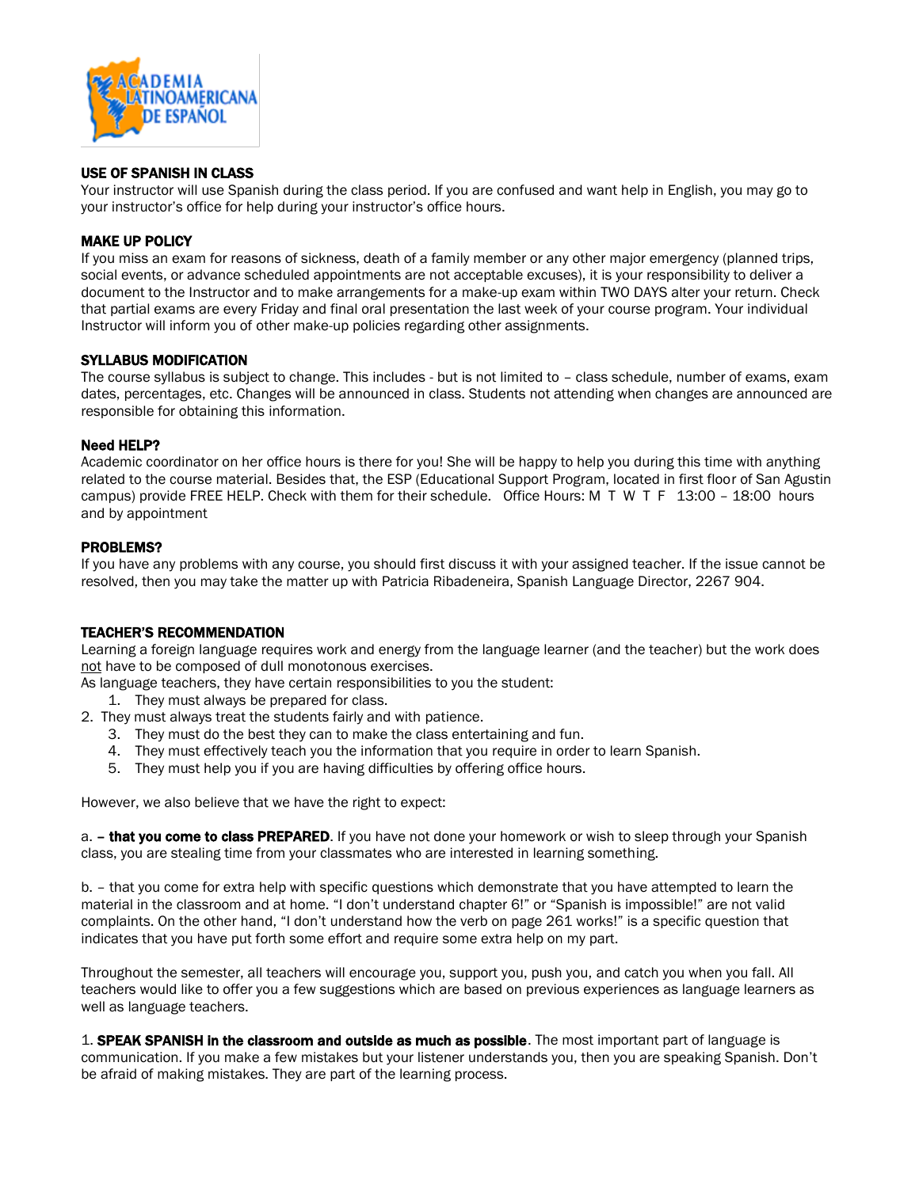

### USE OF SPANISH IN CLASS

Your instructor will use Spanish during the class period. If you are confused and want help in English, you may go to your instructor's office for help during your instructor's office hours.

### MAKE UP POLICY

If you miss an exam for reasons of sickness, death of a family member or any other major emergency (planned trips, social events, or advance scheduled appointments are not acceptable excuses), it is your responsibility to deliver a document to the Instructor and to make arrangements for a make-up exam within TWO DAYS alter your return. Check that partial exams are every Friday and final oral presentation the last week of your course program. Your individual Instructor will inform you of other make-up policies regarding other assignments.

### SYLLABUS MODIFICATION

The course syllabus is subject to change. This includes - but is not limited to – class schedule, number of exams, exam dates, percentages, etc. Changes will be announced in class. Students not attending when changes are announced are responsible for obtaining this information.

#### Need HELP?

Academic coordinator on her office hours is there for you! She will be happy to help you during this time with anything related to the course material. Besides that, the ESP (Educational Support Program, located in first floor of San Agustin campus) provide FREE HELP. Check with them for their schedule. Office Hours: M T W T F 13:00 – 18:00 hours and by appointment

### PROBLEMS?

If you have any problems with any course, you should first discuss it with your assigned teacher. If the issue cannot be resolved, then you may take the matter up with Patricia Ribadeneira, Spanish Language Director, 2267 904.

#### TEACHER'S RECOMMENDATION

Learning a foreign language requires work and energy from the language learner (and the teacher) but the work does not have to be composed of dull monotonous exercises.

As language teachers, they have certain responsibilities to you the student:

- 1. They must always be prepared for class.
- 2. They must always treat the students fairly and with patience.
	- 3. They must do the best they can to make the class entertaining and fun.
	- 4. They must effectively teach you the information that you require in order to learn Spanish.
	- 5. They must help you if you are having difficulties by offering office hours.

However, we also believe that we have the right to expect:

a. – that you come to class PREPARED. If you have not done your homework or wish to sleep through your Spanish class, you are stealing time from your classmates who are interested in learning something.

b. – that you come for extra help with specific questions which demonstrate that you have attempted to learn the material in the classroom and at home. "I don't understand chapter 6!" or "Spanish is impossible!" are not valid complaints. On the other hand, "I don't understand how the verb on page 261 works!" is a specific question that indicates that you have put forth some effort and require some extra help on my part.

Throughout the semester, all teachers will encourage you, support you, push you, and catch you when you fall. All teachers would like to offer you a few suggestions which are based on previous experiences as language learners as well as language teachers.

1. SPEAK SPANISH in the classroom and outside as much as possible. The most important part of language is communication. If you make a few mistakes but your listener understands you, then you are speaking Spanish. Don't be afraid of making mistakes. They are part of the learning process.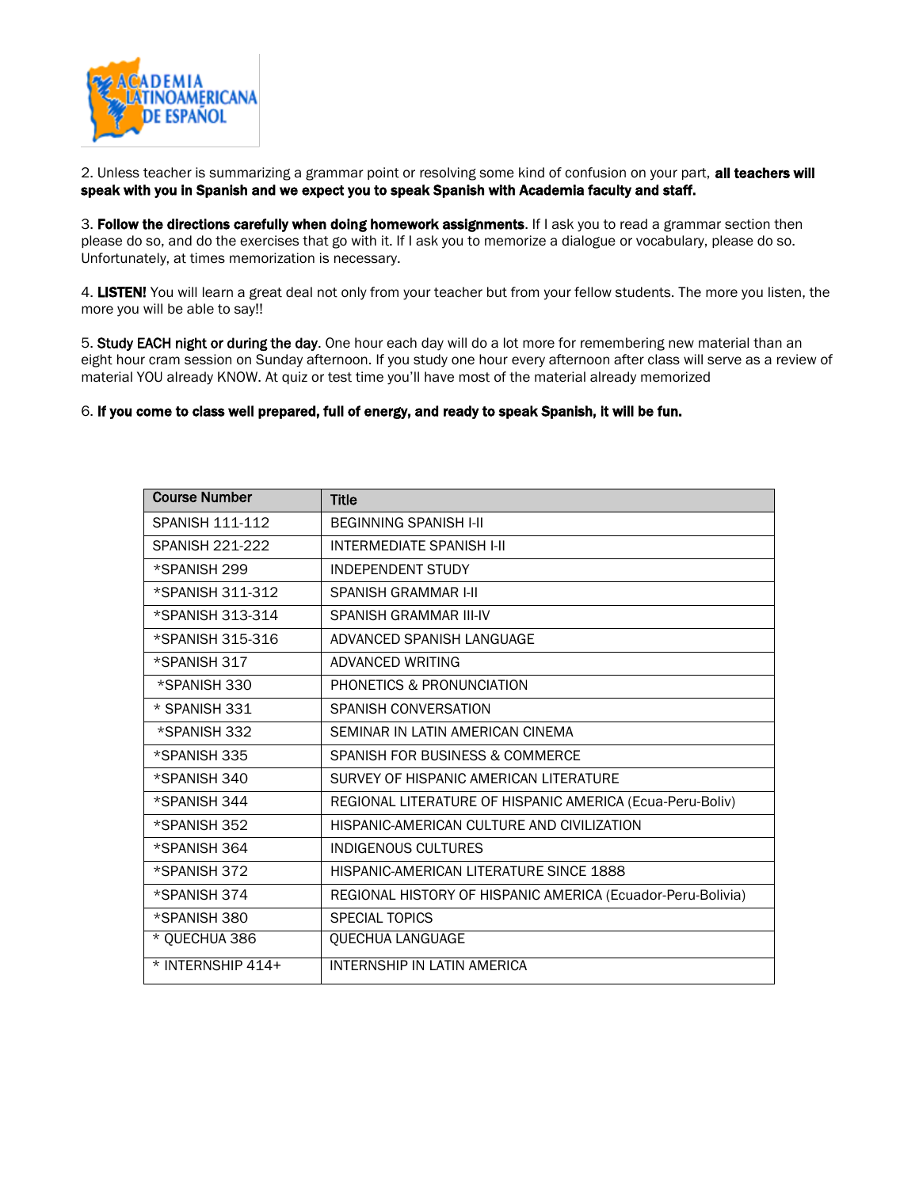

2. Unless teacher is summarizing a grammar point or resolving some kind of confusion on your part, all teachers will speak with you in Spanish and we expect you to speak Spanish with Academia faculty and staff.

3. Follow the directions carefully when doing homework assignments. If I ask you to read a grammar section then please do so, and do the exercises that go with it. If I ask you to memorize a dialogue or vocabulary, please do so. Unfortunately, at times memorization is necessary.

4. LISTEN! You will learn a great deal not only from your teacher but from your fellow students. The more you listen, the more you will be able to say!!

5. Study EACH night or during the day. One hour each day will do a lot more for remembering new material than an eight hour cram session on Sunday afternoon. If you study one hour every afternoon after class will serve as a review of material YOU already KNOW. At quiz or test time you'll have most of the material already memorized

### 6. If you come to class well prepared, full of energy, and ready to speak Spanish, it will be fun.

| <b>Course Number</b>   | <b>Title</b>                                                |
|------------------------|-------------------------------------------------------------|
| <b>SPANISH 111-112</b> | <b>BEGINNING SPANISH I-II</b>                               |
| <b>SPANISH 221-222</b> | <b>INTERMEDIATE SPANISH I-II</b>                            |
| *SPANISH 299           | <b>INDEPENDENT STUDY</b>                                    |
| *SPANISH 311-312       | <b>SPANISH GRAMMAR I-II</b>                                 |
| *SPANISH 313-314       | SPANISH GRAMMAR III-IV                                      |
| *SPANISH 315-316       | ADVANCED SPANISH LANGUAGE                                   |
| *SPANISH 317           | ADVANCED WRITING                                            |
| *SPANISH 330           | PHONETICS & PRONUNCIATION                                   |
| * SPANISH 331          | SPANISH CONVERSATION                                        |
| *SPANISH 332           | SEMINAR IN LATIN AMERICAN CINEMA                            |
| *SPANISH 335           | SPANISH FOR BUSINESS & COMMERCE                             |
| *SPANISH 340           | SURVEY OF HISPANIC AMERICAN LITERATURE                      |
| *SPANISH 344           | REGIONAL LITERATURE OF HISPANIC AMERICA (Ecua-Peru-Boliv)   |
| *SPANISH 352           | HISPANIC-AMERICAN CULTURE AND CIVILIZATION                  |
| *SPANISH 364           | <b>INDIGENOUS CULTURES</b>                                  |
| *SPANISH 372           | HISPANIC-AMERICAN LITERATURE SINCE 1888                     |
| *SPANISH 374           | REGIONAL HISTORY OF HISPANIC AMERICA (Ecuador-Peru-Bolivia) |
| *SPANISH 380           | <b>SPECIAL TOPICS</b>                                       |
| * QUECHUA 386          | QUECHUA LANGUAGE                                            |
| $*$ INTERNSHIP 414+    | INTERNSHIP IN LATIN AMERICA                                 |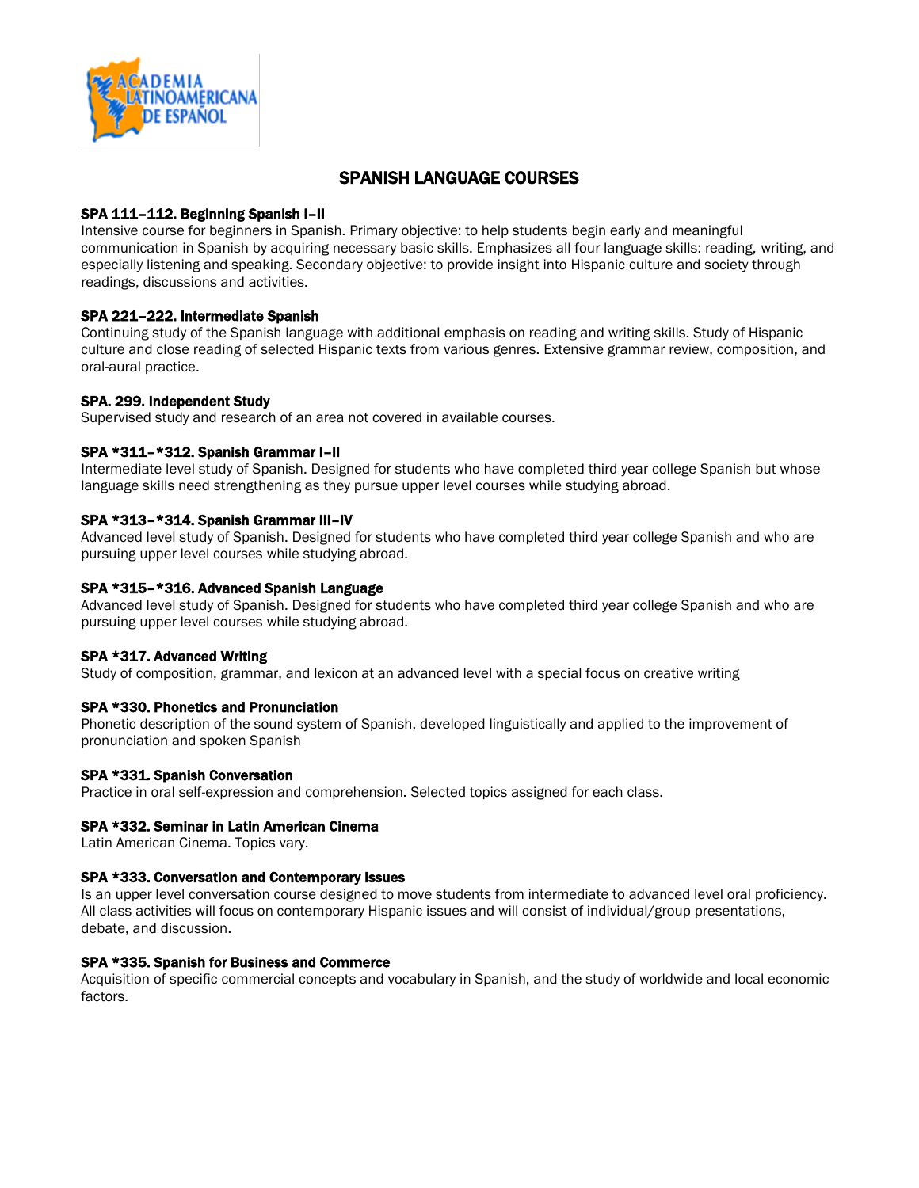

# SPANISH LANGUAGE COURSES

# SPA 111–112. Beginning Spanish I–II

Intensive course for beginners in Spanish. Primary objective: to help students begin early and meaningful communication in Spanish by acquiring necessary basic skills. Emphasizes all four language skills: reading, writing, and especially listening and speaking. Secondary objective: to provide insight into Hispanic culture and society through readings, discussions and activities.

# SPA 221–222. Intermediate Spanish

Continuing study of the Spanish language with additional emphasis on reading and writing skills. Study of Hispanic culture and close reading of selected Hispanic texts from various genres. Extensive grammar review, composition, and oral-aural practice.

# SPA. 299. Independent Study

Supervised study and research of an area not covered in available courses.

### SPA \*311–\*312. Spanish Grammar I–II

Intermediate level study of Spanish. Designed for students who have completed third year college Spanish but whose language skills need strengthening as they pursue upper level courses while studying abroad.

# SPA \*313–\*314. Spanish Grammar III–IV

Advanced level study of Spanish. Designed for students who have completed third year college Spanish and who are pursuing upper level courses while studying abroad.

### SPA \*315–\*316. Advanced Spanish Language

Advanced level study of Spanish. Designed for students who have completed third year college Spanish and who are pursuing upper level courses while studying abroad.

### SPA \*317. Advanced Writing

Study of composition, grammar, and lexicon at an advanced level with a special focus on creative writing

### SPA \*330. Phonetics and Pronunciation

Phonetic description of the sound system of Spanish, developed linguistically and applied to the improvement of pronunciation and spoken Spanish

### SPA \*331. Spanish Conversation

Practice in oral self-expression and comprehension. Selected topics assigned for each class.

### SPA \*332. Seminar in Latin American Cinema

Latin American Cinema. Topics vary.

### SPA \*333. Conversation and Contemporary Issues

Is an upper level conversation course designed to move students from intermediate to advanced level oral proficiency. All class activities will focus on contemporary Hispanic issues and will consist of individual/group presentations, debate, and discussion.

### SPA \*335. Spanish for Business and Commerce

Acquisition of specific commercial concepts and vocabulary in Spanish, and the study of worldwide and local economic factors.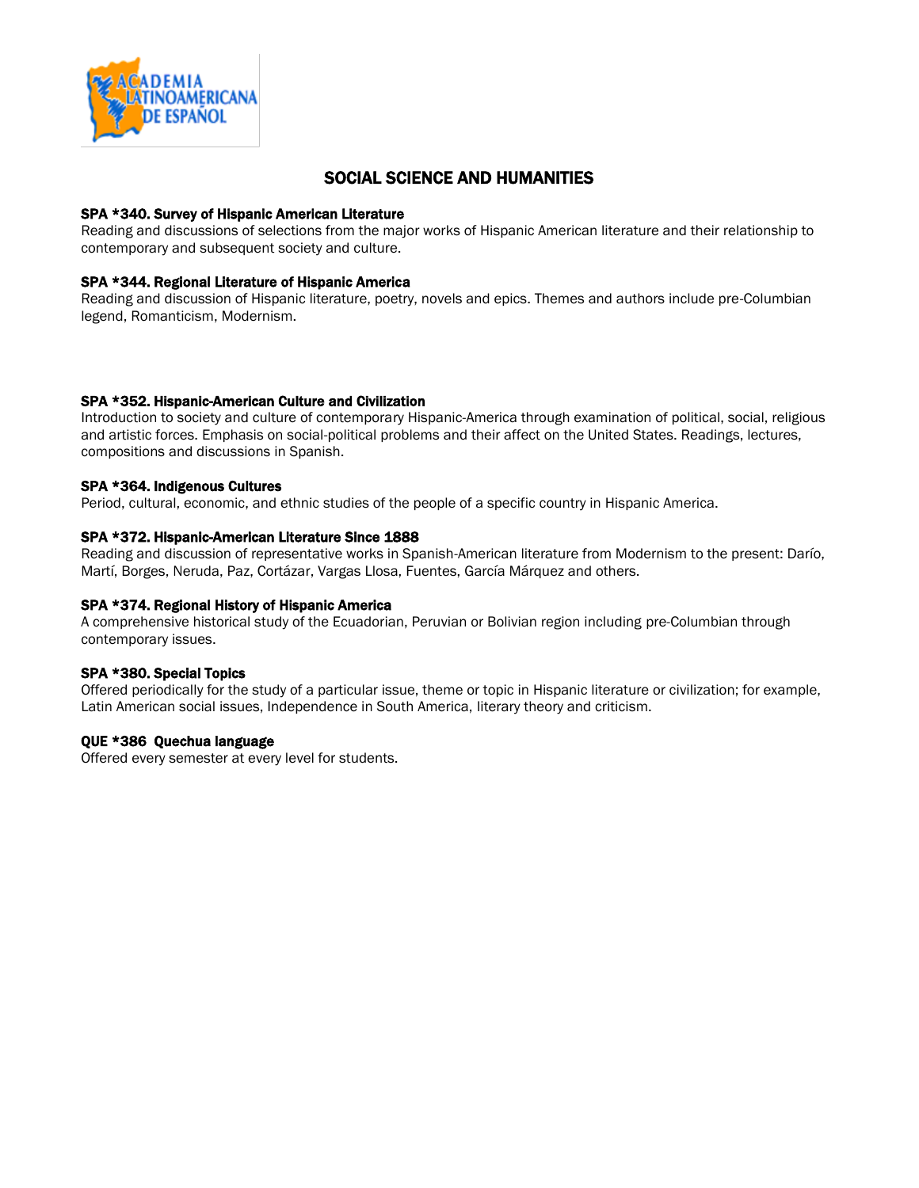

# SOCIAL SCIENCE AND HUMANITIES

### SPA \*340. Survey of Hispanic American Literature

Reading and discussions of selections from the major works of Hispanic American literature and their relationship to contemporary and subsequent society and culture.

### SPA \*344. Regional Literature of Hispanic America

Reading and discussion of Hispanic literature, poetry, novels and epics. Themes and authors include pre-Columbian legend, Romanticism, Modernism.

### SPA \*352. Hispanic-American Culture and Civilization

Introduction to society and culture of contemporary Hispanic-America through examination of political, social, religious and artistic forces. Emphasis on social-political problems and their affect on the United States. Readings, lectures, compositions and discussions in Spanish.

### SPA \*364. Indigenous Cultures

Period, cultural, economic, and ethnic studies of the people of a specific country in Hispanic America.

### SPA \*372. Hispanic-American Literature Since 1888

Reading and discussion of representative works in Spanish-American literature from Modernism to the present: Darío, Martí, Borges, Neruda, Paz, Cortázar, Vargas Llosa, Fuentes, García Márquez and others.

### SPA \*374. Regional History of Hispanic America

A comprehensive historical study of the Ecuadorian, Peruvian or Bolivian region including pre-Columbian through contemporary issues.

### SPA \*380. Special Topics

Offered periodically for the study of a particular issue, theme or topic in Hispanic literature or civilization; for example, Latin American social issues, Independence in South America, literary theory and criticism.

#### QUE \*386 Quechua language

Offered every semester at every level for students.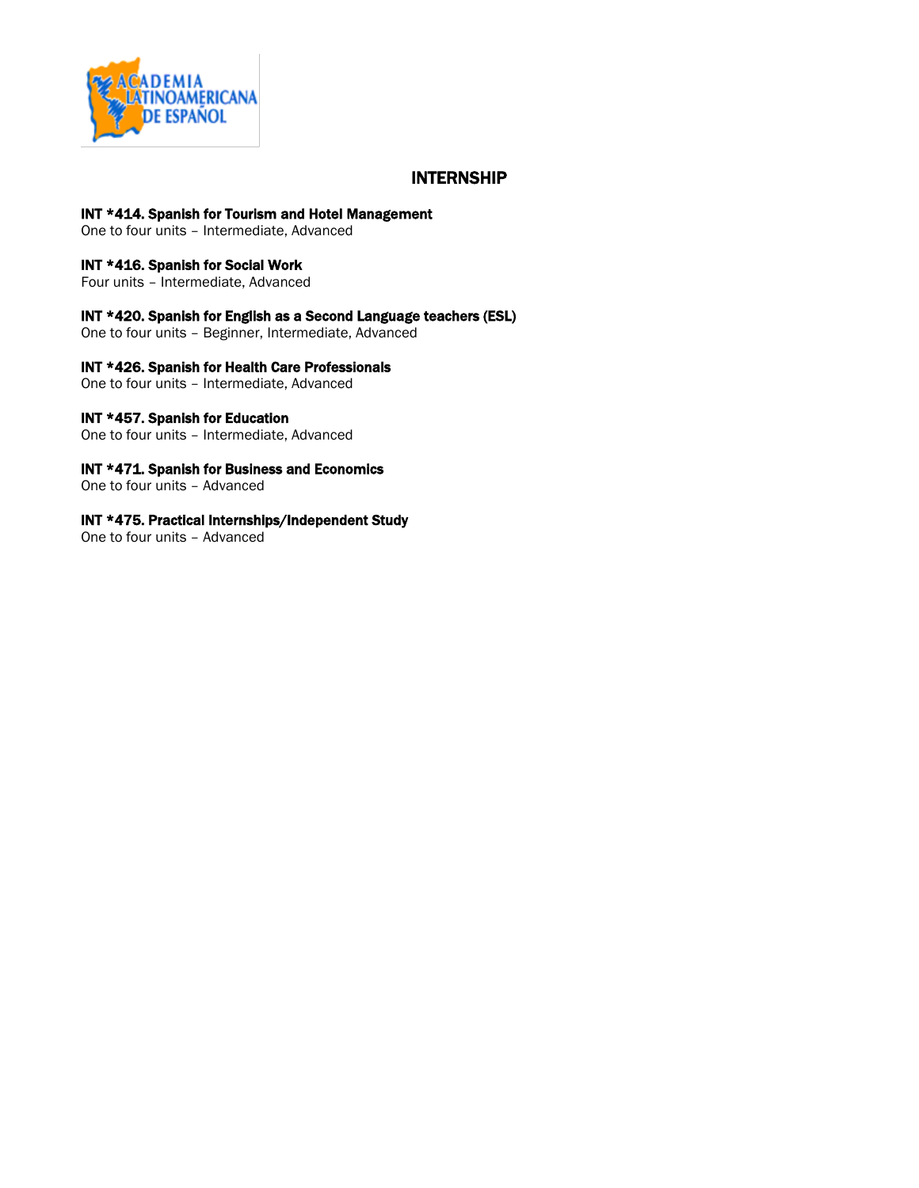

# INTERNSHIP

### INT \*414. Spanish for Tourism and Hotel Management

One to four units – Intermediate, Advanced

# INT \*416. Spanish for Social Work

Four units – Intermediate, Advanced

# INT \*420. Spanish for English as a Second Language teachers (ESL)

One to four units – Beginner, Intermediate, Advanced

### INT \*426. Spanish for Health Care Professionals

One to four units – Intermediate, Advanced

### INT \*457. Spanish for Education

One to four units – Intermediate, Advanced

### INT \*471. Spanish for Business and Economics

One to four units – Advanced

### INT \*475. Practical Internships/Independent Study

One to four units – Advanced